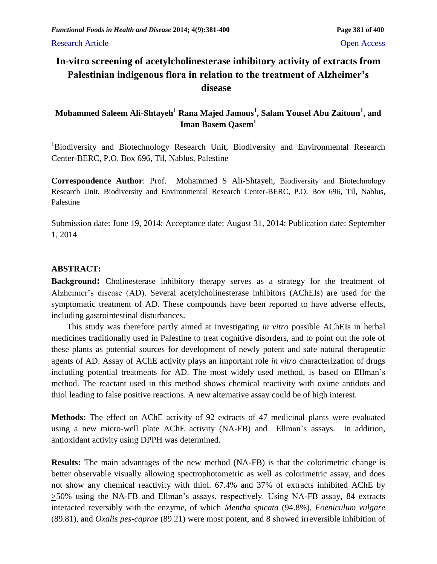# **In-vitro screening of acetylcholinesterase inhibitory activity of extracts from Palestinian indigenous flora in relation to the treatment of Alzheimer's disease**

# **Mohammed Saleem Ali-Shtayeh<sup>1</sup> Rana Majed Jamous<sup>1</sup> , Salam Yousef Abu Zaitoun<sup>1</sup> , and Iman Basem Qasem<sup>1</sup>**

<sup>1</sup>Biodiversity and Biotechnology Research Unit, Biodiversity and Environmental Research Center-BERC, P.O. Box 696, Til, Nablus, Palestine

**Correspondence Author**: Prof. Mohammed S Ali-Shtayeh, Biodiversity and Biotechnology Research Unit, Biodiversity and Environmental Research Center-BERC, P.O. Box 696, Til, Nablus, Palestine

Submission date: June 19, 2014; Acceptance date: August 31, 2014; Publication date: September 1, 2014

## **ABSTRACT:**

**Background:** Cholinesterase inhibitory therapy serves as a strategy for the treatment of Alzheimer's disease (AD). Several acetylcholinesterase inhibitors (AChEIs) are used for the symptomatic treatment of AD. These compounds have been reported to have adverse effects, including gastrointestinal disturbances.

This study was therefore partly aimed at investigating *in vitro* possible AChEIs in herbal medicines traditionally used in Palestine to treat cognitive disorders, and to point out the role of these plants as potential sources for development of newly potent and safe natural therapeutic agents of AD. Assay of AChE activity plays an important role *in vitro* characterization of drugs including potential treatments for AD. The most widely used method, is based on Ellman's method. The reactant used in this method shows chemical reactivity with oxime antidots and thiol leading to false positive reactions. A new alternative assay could be of high interest.

**Methods:** The effect on AChE activity of 92 extracts of 47 medicinal plants were evaluated using a new micro-well plate AChE activity (NA-FB) and Ellman's assays. In addition, antioxidant activity using DPPH was determined.

**Results:** The main advantages of the new method (NA-FB) is that the colorimetric change is better observable visually allowing spectrophotometric as well as colorimetric assay, and does not show any chemical reactivity with thiol. 67.4% and 37% of extracts inhibited AChE by >50% using the NA-FB and Ellman's assays, respectively. Using NA-FB assay, 84 extracts interacted reversibly with the enzyme, of which *Mentha spicata* (94.8%), *Foeniculum vulgare*  (89.81), and *Oxalis pes-caprae* (89.21) were most potent, and 8 showed irreversible inhibition of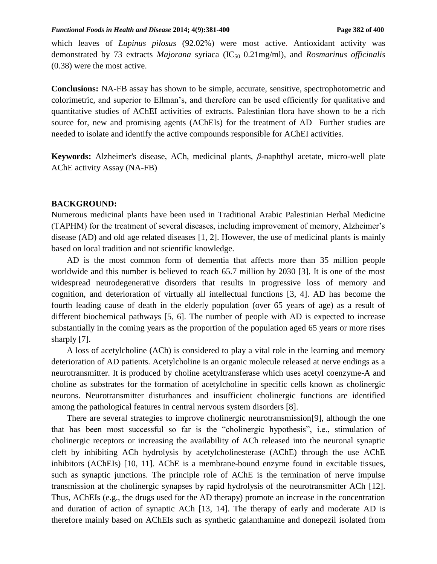#### *Functional Foods in Health and Disease* 2014; 4(9):381-400 **Page 382** of 400

which leaves of *Lupinus pilosus* (92.02%) were most active. Antioxidant activity was demonstrated by 73 extracts *Majorana* syriaca (IC<sub>50</sub> 0.21mg/ml), and *Rosmarinus officinalis* (0.38) were the most active.

**Conclusions:** NA-FB assay has shown to be simple, accurate, sensitive, spectrophotometric and colorimetric, and superior to Ellman's, and therefore can be used efficiently for qualitative and quantitative studies of AChEI activities of extracts. Palestinian flora have shown to be a rich source for, new and promising agents (AChEIs) for the treatment of AD Further studies are needed to isolate and identify the active compounds responsible for AChEI activities.

**Keywords:** Alzheimer's disease, ACh, medicinal plants, *β*-naphthyl acetate, micro-well plate AChE activity Assay (NA-FB)

#### **BACKGROUND:**

Numerous medicinal plants have been used in Traditional Arabic Palestinian Herbal Medicine (TAPHM) for the treatment of several diseases, including improvement of memory, Alzheimer's disease (AD) and old age related diseases [1, 2]. However, the use of medicinal plants is mainly based on local tradition and not scientific knowledge.

AD is the most common form of dementia that affects more than 35 million people worldwide and this number is believed to reach 65.7 million by 2030 [3]. It is one of the most widespread neurodegenerative disorders that results in progressive loss of memory and cognition, and deterioration of virtually all intellectual functions [3, 4]. AD has become the fourth leading cause of death in the elderly population (over 65 years of age) as a result of different biochemical pathways [5, 6]. The number of people with AD is expected to increase substantially in the coming years as the proportion of the population aged 65 years or more rises sharply [7].

A loss of acetylcholine (ACh) is considered to play a vital role in the learning and memory deterioration of AD patients. Acetylcholine is an organic molecule released at nerve endings as a neurotransmitter. It is produced by choline acetyltransferase which uses acetyl coenzyme-A and choline as substrates for the formation of acetylcholine in specific cells known as cholinergic neurons. Neurotransmitter disturbances and insufficient cholinergic functions are identified among the pathological features in central nervous system disorders [8].

There are several strategies to improve cholinergic neurotransmission[9], although the one that has been most successful so far is the "cholinergic hypothesis", i.e., stimulation of cholinergic receptors or increasing the availability of ACh released into the neuronal synaptic cleft by inhibiting ACh hydrolysis by acetylcholinesterase (AChE) through the use AChE inhibitors (AChEIs) [10, 11]. AChE is a membrane-bound enzyme found in excitable tissues, such as synaptic junctions. The principle role of AChE is the termination of nerve impulse transmission at the cholinergic synapses by rapid hydrolysis of the neurotransmitter ACh [12]. Thus, AChEIs (e.g., the drugs used for the AD therapy) promote an increase in the concentration and duration of action of synaptic ACh [13, 14]. The therapy of early and moderate AD is therefore mainly based on AChEIs such as synthetic galanthamine and donepezil isolated from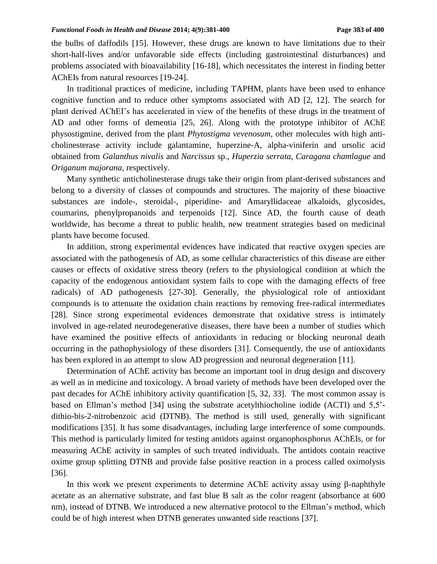the bulbs of daffodils [15]. However, these drugs are known to have limitations due to their short-half-lives and/or unfavorable side effects (including gastrointestinal disturbances) and problems associated with bioavailability [16-18], which necessitates the interest in finding better AChEIs from natural resources [19-24].

In traditional practices of medicine, including TAPHM, plants have been used to enhance cognitive function and to reduce other symptoms associated with AD [2, 12]. The search for plant derived AChEI's has accelerated in view of the benefits of these drugs in the treatment of AD and other forms of dementia [25, 26]. Along with the prototype inhibitor of AChE physostigmine, derived from the plant *Phytostigma vevenosum*, other molecules with high anticholinesterase activity include galantamine, huperzine-A, alpha-viniferin and ursolic acid obtained from *Galanthus nivalis* and *Narcissus* sp., *Huperzia serrata*, *Caragana chamlague* and *Origanum majorana*, respectively.

Many synthetic anticholinesterase drugs take their origin from plant-derived substances and belong to a diversity of classes of compounds and structures. The majority of these bioactive substances are indole-, steroidal-, piperidine- and Amaryllidaceae alkaloids, glycosides, coumarins, phenylpropanoids and terpenoids [12]. Since AD, the fourth cause of death worldwide, has become a threat to public health, new treatment strategies based on medicinal plants have become focused.

In addition, strong experimental evidences have indicated that reactive oxygen species are associated with the pathogenesis of AD, as some cellular characteristics of this disease are either causes or effects of oxidative stress theory (refers to the physiological condition at which the capacity of the endogenous antioxidant system fails to cope with the damaging effects of free radicals) of AD pathogenesis [27-30]. Generally, the physiological role of antioxidant compounds is to attenuate the oxidation chain reactions by removing free-radical intermediates [28]. Since strong experimental evidences demonstrate that oxidative stress is intimately involved in age-related neurodegenerative diseases, there have been a number of studies which have examined the positive effects of antioxidants in reducing or blocking neuronal death occurring in the pathophysiology of these disorders [31]. Consequently, the use of antioxidants has been explored in an attempt to slow AD progression and neuronal degeneration [11].

Determination of AChE activity has become an important tool in drug design and discovery as well as in medicine and toxicology. A broad variety of methods have been developed over the past decades for AChE inhibitory activity quantification [5, 32, 33]. The most common assay is based on Ellman's method [34] using the substrate acetylthiocholine iodide (ACTI) and 5,5' dithio-bis-2-nitrobenzoic acid (DTNB). The method is still used, generally with significant modifications [35]. It has some disadvantages, including large interference of some compounds. This method is particularly limited for testing antidots against organophosphorus AChEIs, or for measuring AChE activity in samples of such treated individuals. The antidots contain reactive oxime group splitting DTNB and provide false positive reaction in a process called oximolysis [36].

In this work we present experiments to determine AChE activity assay using β-naphthyle acetate as an alternative substrate, and fast blue B salt as the color reagent (absorbance at 600 nm), instead of DTNB. We introduced a new alternative protocol to the Ellman's method, which could be of high interest when DTNB generates unwanted side reactions [37].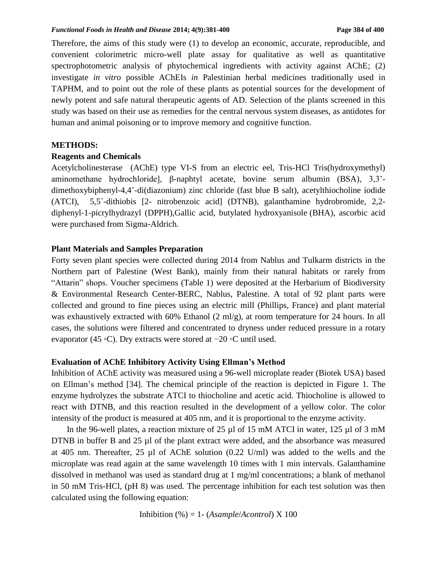Therefore, the aims of this study were (1) to develop an economic, accurate, reproducible, and convenient colorimetric micro-well plate assay for qualitative as well as quantitative spectrophotometric analysis of phytochemical ingredients with activity against AChE; (2) investigate *in vitro* possible AChEIs *in* Palestinian herbal medicines traditionally used in TAPHM, and to point out the role of these plants as potential sources for the development of newly potent and safe natural therapeutic agents of AD. Selection of the plants screened in this study was based on their use as remedies for the central nervous system diseases, as antidotes for human and animal poisoning or to improve memory and cognitive function.

### **METHODS:**

### **Reagents and Chemicals**

Acetylcholinesterase (AChE) type VI-S from an electric eel, Tris-HCl Tris(hydroxymethyl) aminomethane hydrochloride], β-naphtyl acetate, bovine serum albumin (BSA), 3,3' dimethoxybiphenyl-4,4'-di(diazonium) zinc chloride (fast blue B salt), acetylthiocholine iodide (ATCI), 5,5´-dithiobis [2- nitrobenzoic acid] (DTNB), galanthamine hydrobromide, 2,2 diphenyl-1-picrylhydrazyl (DPPH),Gallic acid, butylated hydroxyanisole (BHA), ascorbic acid were purchased from Sigma-Aldrich.

### **Plant Materials and Samples Preparation**

Forty seven plant species were collected during 2014 from Nablus and Tulkarm districts in the Northern part of Palestine (West Bank), mainly from their natural habitats or rarely from "Attarin" shops. Voucher specimens (Table 1) were deposited at the Herbarium of Biodiversity & Environmental Research Center-BERC, Nablus, Palestine. A total of 92 plant parts were collected and ground to fine pieces using an electric mill (Phillips, France) and plant material was exhaustively extracted with 60% Ethanol (2 ml/g), at room temperature for 24 hours. In all cases, the solutions were filtered and concentrated to dryness under reduced pressure in a rotary evaporator (45 ◦C). Dry extracts were stored at −20 ◦C until used.

### **Evaluation of AChE Inhibitory Activity Using Ellman's Method**

Inhibition of AChE activity was measured using a 96-well microplate reader (Biotek USA) based on Ellman's method [34]. The chemical principle of the reaction is depicted in Figure 1. The enzyme hydrolyzes the substrate ATCI to thiocholine and acetic acid. Thiocholine is allowed to react with DTNB, and this reaction resulted in the development of a yellow color. The color intensity of the product is measured at 405 nm, and it is proportional to the enzyme activity.

In the 96-well plates, a reaction mixture of 25 µl of 15 mM ATCI in water, 125 µl of 3 mM DTNB in buffer B and 25 µl of the plant extract were added, and the absorbance was measured at 405 nm. Thereafter, 25 µl of AChE solution (0.22 U/ml) was added to the wells and the microplate was read again at the same wavelength 10 times with 1 min intervals. Galanthamine dissolved in methanol was used as standard drug at 1 mg/ml concentrations; a blank of methanol in 50 mM Tris-HCl, (pH 8) was used. The percentage inhibition for each test solution was then calculated using the following equation:

Inhibition (%) = 1- (*Asample*/*Acontrol*) X 100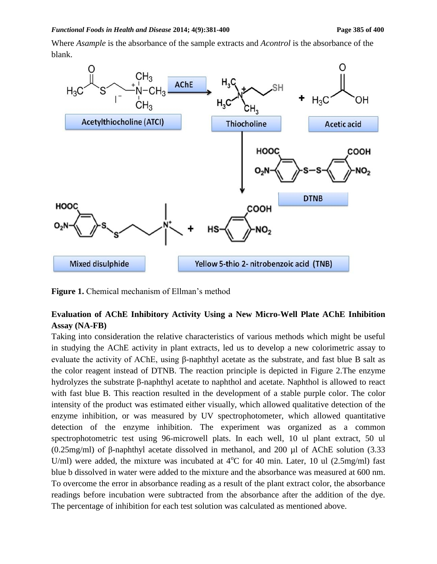Where *Asample* is the absorbance of the sample extracts and *Acontrol* is the absorbance of the blank.



**Figure 1.** Chemical mechanism of Ellman's method

## **Evaluation of AChE Inhibitory Activity Using a New Micro-Well Plate AChE Inhibition Assay (NA-FB)**

Taking into consideration the relative characteristics of various methods which might be useful in studying the AChE activity in plant extracts, led us to develop a new colorimetric assay to evaluate the activity of AChE, using β-naphthyl acetate as the substrate, and fast blue B salt as the color reagent instead of DTNB. The reaction principle is depicted in Figure 2.The enzyme hydrolyzes the substrate β-naphthyl acetate to naphthol and acetate. Naphthol is allowed to react with fast blue B. This reaction resulted in the development of a stable purple color. The color intensity of the product was estimated either visually, which allowed qualitative detection of the enzyme inhibition, or was measured by UV spectrophotometer, which allowed quantitative detection of the enzyme inhibition. The experiment was organized as a common spectrophotometric test using 96-microwell plats. In each well, 10 ul plant extract, 50 ul (0.25mg/ml) of β-naphthyl acetate dissolved in methanol, and 200 µl of AChE solution (3.33 U/ml) were added, the mixture was incubated at  $4^{\circ}$ C for 40 min. Later, 10 ul (2.5mg/ml) fast blue b dissolved in water were added to the mixture and the absorbance was measured at 600 nm. To overcome the error in absorbance reading as a result of the plant extract color, the absorbance readings before incubation were subtracted from the absorbance after the addition of the dye. The percentage of inhibition for each test solution was calculated as mentioned above.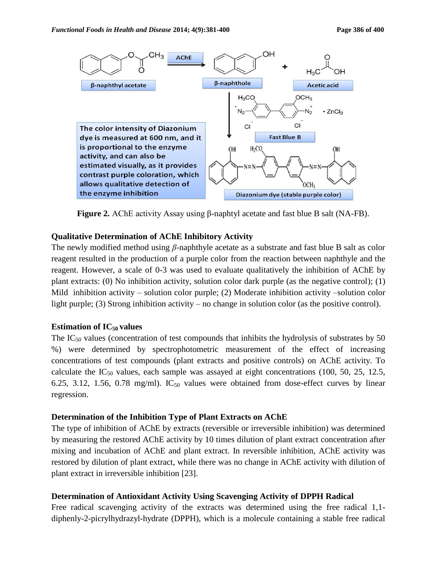

**Figure 2.** AChE activity Assay using β-naphtyl acetate and fast blue B salt (NA-FB).

### **Qualitative Determination of AChE Inhibitory Activity**

The newly modified method using *β*-naphthyle acetate as a substrate and fast blue B salt as color reagent resulted in the production of a purple color from the reaction between naphthyle and the reagent. However, a scale of 0-3 was used to evaluate qualitatively the inhibition of AChE by plant extracts: (0) No inhibition activity, solution color dark purple (as the negative control); (1) Mild inhibition activity – solution color purple; (2) Moderate inhibition activity –solution color light purple; (3) Strong inhibition activity – no change in solution color (as the positive control).

### **Estimation of IC50 values**

The IC<sub>50</sub> values (concentration of test compounds that inhibits the hydrolysis of substrates by 50 %) were determined by spectrophotometric measurement of the effect of increasing concentrations of test compounds (plant extracts and positive controls) on AChE activity. To calculate the  $IC_{50}$  values, each sample was assayed at eight concentrations (100, 50, 25, 12.5, 6.25, 3.12, 1.56, 0.78 mg/ml).  $IC_{50}$  values were obtained from dose-effect curves by linear regression.

### **Determination of the Inhibition Type of Plant Extracts on AChE**

The type of inhibition of AChE by extracts (reversible or irreversible inhibition) was determined by measuring the restored AChE activity by 10 times dilution of plant extract concentration after mixing and incubation of AChE and plant extract. In reversible inhibition, AChE activity was restored by dilution of plant extract, while there was no change in AChE activity with dilution of plant extract in irreversible inhibition [23].

### **Determination of Antioxidant Activity Using Scavenging Activity of DPPH Radical**

Free radical scavenging activity of the extracts was determined using the free radical 1,1 diphenly-2-picrylhydrazyl-hydrate (DPPH), which is a molecule containing a stable free radical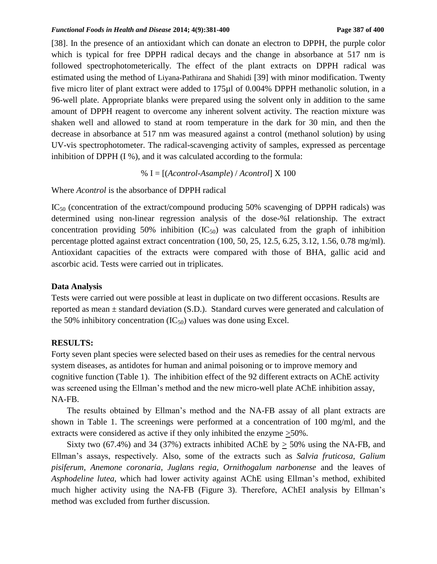[38]. In the presence of an antioxidant which can donate an electron to DPPH, the purple color which is typical for free DPPH radical decays and the change in absorbance at 517 nm is followed spectrophotometerically. The effect of the plant extracts on DPPH radical was estimated using the method of Liyana-Pathirana and Shahidi [39] with minor modification. Twenty five micro liter of plant extract were added to 175µl of 0.004% DPPH methanolic solution, in a 96-well plate. Appropriate blanks were prepared using the solvent only in addition to the same amount of DPPH reagent to overcome any inherent solvent activity. The reaction mixture was shaken well and allowed to stand at room temperature in the dark for 30 min, and then the decrease in absorbance at 517 nm was measured against a control (methanol solution) by using UV-vis spectrophotometer. The radical-scavenging activity of samples, expressed as percentage inhibition of DPPH (I %), and it was calculated according to the formula:

% I = [(*Acontrol*-*Asample*) / *Acontrol*] X 100

Where *Acontrol* is the absorbance of DPPH radical

IC<sub>50</sub> (concentration of the extract/compound producing 50% scavenging of DPPH radicals) was determined using non-linear regression analysis of the dose-%I relationship. The extract concentration providing 50% inhibition  $(IC_{50})$  was calculated from the graph of inhibition percentage plotted against extract concentration (100, 50, 25, 12.5, 6.25, 3.12, 1.56, 0.78 mg/ml). Antioxidant capacities of the extracts were compared with those of BHA, gallic acid and ascorbic acid. Tests were carried out in triplicates.

#### **Data Analysis**

Tests were carried out were possible at least in duplicate on two different occasions. Results are reported as mean ± standard deviation (S.D.). Standard curves were generated and calculation of the 50% inhibitory concentration  $(IC_{50})$  values was done using Excel.

#### **RESULTS:**

Forty seven plant species were selected based on their uses as remedies for the central nervous system diseases, as antidotes for human and animal poisoning or to improve memory and cognitive function (Table 1). The inhibition effect of the 92 different extracts on AChE activity was screened using the Ellman's method and the new micro-well plate AChE inhibition assay, NA-FB.

The results obtained by Ellman's method and the NA-FB assay of all plant extracts are shown in Table 1. The screenings were performed at a concentration of 100 mg/ml, and the extracts were considered as active if they only inhibited the enzyme >50%.

Sixty two (67.4%) and 34 (37%) extracts inhibited AChE by  $>$  50% using the NA-FB, and Ellman's assays, respectively. Also, some of the extracts such as *Salvia fruticosa*, *Galium pisiferum*, *Anemone coronaria, Juglans regia, Ornithogalum narbonense* and the leaves of *Asphodeline lutea*, which had lower activity against AChE using Ellman's method, exhibited much higher activity using the NA-FB (Figure 3). Therefore, AChEI analysis by Ellman's method was excluded from further discussion.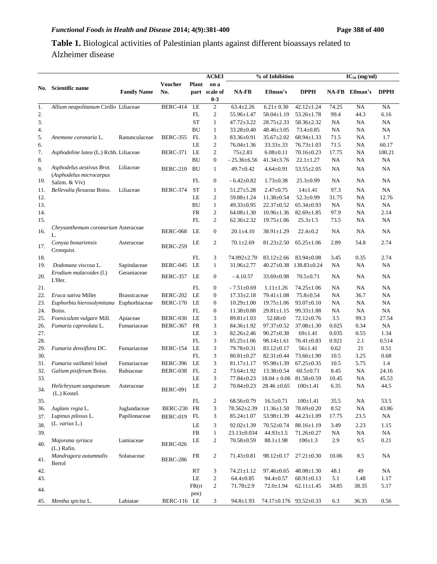# **Table 1.** Biological activities of Palestinian plants against different bioassays related to Alzheimer disease

|          |                                          |                     |                       |              | AChEI                 | % of Inhibition                    |                                    |                                     | $IC_{50}$ (mg/ml) |               |                 |
|----------|------------------------------------------|---------------------|-----------------------|--------------|-----------------------|------------------------------------|------------------------------------|-------------------------------------|-------------------|---------------|-----------------|
| No.      | Scientific name                          | <b>Family Name</b>  | <b>Voucher</b><br>No. | <b>Plant</b> | on a<br>part scale of | NA-FB                              | Ellman's                           | <b>DPPH</b>                         | <b>NA-FB</b>      | Ellman's      | <b>DPPH</b>     |
|          |                                          |                     |                       |              | $0 - 3$               |                                    |                                    |                                     |                   |               |                 |
| 1.       | Allium neapolitanum Cirillo Liliaceae    |                     | <b>BERC-414</b>       | LE           | $\overline{c}$        | $63.4 \pm 2.26$                    | $6.21 \pm 0.30$                    | $42.12 \pm 1.24$                    | 74.25             | NA            | <b>NA</b>       |
| 2.       |                                          |                     |                       | FL           | 2                     | 55.96±1.47                         | $58.04 \pm 1.19$                   | 53.26±1.78                          | 99.4              | 44.3          | 6.16            |
| 3.       |                                          |                     |                       | <b>ST</b>    | $\mathbf{1}$          | $47.72 \pm 3.22$                   | 28.75±2.33                         | $58.36 \pm 2.32$                    | NA                | NA            | NA              |
| 4.       |                                          |                     |                       | <b>BU</b>    | $\mathbf{1}$          | 33.28±0.40                         | 48.46±3.05                         | $73.4 \pm 0.85$                     | NA.               | NA            | NA              |
| 5.       | Anemone coronaria L.                     | Ranunculaceae       | <b>BERC-355</b>       | FL           | 3                     | 83.36±0.91                         | $35.67 \pm 2.02$                   | $68.94 \pm 1.33$                    | 71.5              | NA            | 1.7             |
| 6.<br>7. |                                          |                     |                       | LE<br>LE     | 2<br>$\overline{c}$   | $76.04 \pm 1.36$<br>$75 + 2.83$    | $33.33 \pm .33$<br>$6.08 \pm 0.11$ | $76.73 \pm 1.03$                    | 71.5<br>17.75     | NA            | 60.17<br>100.21 |
| 8.       | Asphodeline lutea (L.) Rchb. Liliaceae   |                     | <b>BERC-371</b>       | <b>BU</b>    | $\boldsymbol{0}$      | $-25.36\pm 6.56$                   | $41.34 \pm 3.76$                   | $70.16 \pm 0.23$<br>$22.1 \pm 1.27$ | NA.               | NA<br>NA      | NA              |
| 9.       | Asphodelus aestivus Brot.                | Liliaceae           | <b>BERC-210</b>       | <b>BU</b>    | $\mathbf{1}$          | 49.7±0.42                          | $4.64 \pm 0.91$                    | $53.55 \pm 2.05$                    | NA.               | NA            | NA              |
| 10.      | (Asphodelus microcarpus<br>Salzm. & Viv) |                     |                       | FL           | $\boldsymbol{0}$      | $-6.42 \pm 0.82$                   | $1.73 \pm 0.38$                    | $25.3 \pm 0.99$                     | NA                | NA            | NA              |
| 11.      | Bellevalia flexuosa Boiss.               | Liliaceae           | <b>BERC-374</b>       | <b>ST</b>    | $\mathbf{1}$          | $51.27 \pm 5.28$                   | $2.47 \pm 0.75$                    | $14 \pm 1.41$                       | 97.3              | NA            | NA              |
| 12.      |                                          |                     |                       | LE           | 2                     | 59.88±1.24                         | 11.38±0.54                         | $52.3 \pm 0.99$                     | 31.75             | NA            | 12.76           |
| 13.      |                                          |                     |                       | BU           | $\mathbf{1}$          | $49.33 \pm 0.95$                   | $22.37 \pm 0.52$                   | $65.34 \pm 0.93$                    | NA                | NA            | NA              |
| 14.      |                                          |                     |                       | <b>FR</b>    | $\boldsymbol{2}$      | $64.08 \pm 1.30$                   | $10.96 \pm 1.36$                   | $82.69 \pm 1.85$                    | 97.9              | NA            | 2.14            |
| 15.      | Chrysanthemum coronarium Asteraceae      |                     |                       | FL           | 2                     | $62.36 \pm 2.32$                   | $19.75 \pm 1.06$                   | $25.3 \pm 1.5$                      | 73.5              | NA            | NA              |
| 16.      | L.                                       |                     | <b>BERC-068</b>       | LE           | $\boldsymbol{0}$      | $20.1 \pm 4.10$                    | $38.91 \pm 1.29$                   | $22.4 \pm 0.2$                      | NA                | NA            | NA              |
| 17.      | Conyza bonariensis<br>Cronquist.         | Asteraceae          | <b>BERC-259</b>       | LE           | 2                     | $70.1 \pm 2.69$                    | $81.23 \pm 2.50$                   | $65.25 \pm 1.06$                    | 2.89              | 54.8          | 2.74            |
| 18.      |                                          |                     |                       | FL           | 3                     | 74.092±2.70                        | $83.12 \pm 2.66$                   | 83.94±0.08                          | 3.45              | 0.35          | 2.74            |
| 19.      | Dodonaea viscosa L.                      | Sapindaceae         | <b>BERC-045</b>       | LE           | $\mathbf{1}$          | 31.96±2.77                         | $40.27 \pm 0.38$                   | 138.83±0.24                         | NA.               | NA            | NA              |
| 20.      | Erodium malacoides (l.)<br>L'Her.        | Geraniaceae         | <b>BERC-357</b>       | LE           | $\boldsymbol{0}$      | $-4.10.57$                         | $33.69 \pm 0.98$                   | $70.5 \pm 0.71$                     | NA                | NA            | NA              |
| 21.      |                                          |                     |                       | FL           | $\boldsymbol{0}$      | $-7.51 \pm 0.69$                   | $1.11 \pm 1.26$                    | $74.25 \pm 1.06$                    | NA                | <b>NA</b>     | <b>NA</b>       |
| 22.      | Eruca sativa Miller                      | <b>Brassicaceae</b> | <b>BERC-202</b>       | LE           | $\boldsymbol{0}$      | $17.33 \pm 2.18$                   | $79.41 \pm 1.08$                   | $75.8 \pm 0.54$                     | NA                | 36.7          | NA              |
| 23.      | Euphorbia hierosolymitana                | Euphorbiaceae       | <b>BERC-170</b>       | LE           | $\boldsymbol{0}$      | $10.29 \pm 1.00$                   | $19.75 \pm 1.06$                   | $93.07 \pm 0.10$                    | NA.               | NA            | NA              |
| 24.      | Boiss.                                   |                     |                       | FL           | $\boldsymbol{0}$      | $11.38 \pm 0.88$                   | $29.81 \pm 1.15$                   | $99.33 \pm 1.88$                    | NA                | NA            | NA              |
| 25.      | Foeniculum vulgare Mill.                 | Apiaceae            | <b>BERC-030</b>       | LE           | 3                     | $89.81 \pm 1.03$                   | $52.68 \pm 0$                      | $72.12 \pm 0.76$                    | 3.5               | 99.3          | 27.54           |
| 26.      | Fumaria capreolata L.                    | Fumariaceae         | <b>BERC-367</b>       | FR           | 3                     | 84.36±1.92                         | $97.37 \pm 0.52$                   | $37.08 \pm 1.30$                    | 0.025             | 0.34          | <b>NA</b>       |
| 27.      |                                          |                     |                       | LE           | 3                     | $82.26 \pm 2.46$                   | $90.27 \pm 0.38$                   | $69 \pm 1.41$                       | 0.035             | 0.55          | 1.34            |
| 28.      |                                          |                     |                       | FL           | 3                     | $85.25 \pm 1.06$                   | $98.14 \pm 1.61$                   | $76.41 \pm 0.83$                    | 0.921             | 2.1           | 0.514           |
| 29.      | Fumaria densiflora DC.                   | Fumariaceae         | <b>BERC-154</b>       | LE           | 3                     | 79.78±0.31                         | $83.12 \pm 0.17$                   | $56 \pm 1.41$                       | 0.62              | 21            | 0.51            |
| 30.      |                                          |                     |                       | FL           | 3                     | $80.81 \pm 0.27$                   | $82.31 \pm 0.44$                   | 73.66±1.90                          | 10.5              | 3.25          | 0.68            |
| 31.      | Fumaria vaillantii loisel                | Fumariaceae         | <b>BERC-396</b>       | LE           | 3                     | $81.17 \pm 1.17$                   | 95.98±1.39                         | $67.25 \pm 0.35$                    | 10.5              | 5.75          | 1.4             |
| 32.      | Galium pisiferum Boiss.                  | Rubiaceae           | <b>BERC-038</b>       | FL           | $\overline{c}$        | 73.64±1.92                         | $13.38 \pm 0.54$                   | $60.5 \pm 0.71$                     | 8.45              | NA            | 24.16           |
| 33.      |                                          |                     |                       | LE           | 3                     | $77.84 \pm 0.23$                   | $18.04 \pm 0.06$                   | $81.58 \pm 0.59$                    | 10.45             | NA            | 45.53           |
| 34.      | Helichrysum sanguineum<br>(L.) Kostel.   | Asteraceae          | <b>BERC-091</b>       | LE           | $\overline{c}$        | $70.84 \pm 0.23$                   | $28.46 \pm 0.65$                   | $100 \pm 1.41$                      | 6.35              | NA            | 44.5            |
| 35.      |                                          |                     |                       | ${\rm FL}$   | $\boldsymbol{2}$      | 68.56±0.79                         | $16.5 \pm 0.71$                    | $100 \pm 1.41$                      | 35.5              | NA            | 53.5            |
| 36.      | Juglans regia L.                         | Juglandaceae        | <b>BERC-230</b>       | FR           | 3                     | 78.562±2.39                        | $11.36 \pm 1.50$                   | 78.69±0.20                          | 8.52              | NA            | 43.86           |
| 37.      | Lupinus pilosus L.                       | Papilionaceae       | <b>BERC-019</b>       | FL           | 3                     | $85.24 \pm 1.07$                   | 53.98±1.39                         | $44.23 \pm 1.09$                    | 17.75             | 23.5          | <b>NA</b>       |
| 38.      | (L. varius L.)                           |                     |                       | LE           | 3                     | $92.02 \pm 1.39$                   | 70.52±0.74                         | $88.16 \pm 1.19$                    | 3.49              | 2.23          | 1.15            |
| 39.      |                                          |                     |                       | ${\sf FR}$   | $\mathbf{1}$          | $23.13 \pm 0.034$                  | $44.93 \pm 1.5$                    | 71.26±0.27                          | NA.               | NA            | NA              |
| 40.      | Majorana syriaca<br>$(L.)$ Rafin.        | Lamiaceae           | <b>BERC-026</b>       | LE           | 2                     | $70.58 \pm 0.59$                   | $88.1 \pm 1.98$                    | $100 \pm 1.3$                       | 2.9               | 9.5           | 0.21            |
| 41.      | Mandragora autumnalis                    | Solanaceae          | <b>BERC-286</b>       | FR           | $\overline{c}$        | $71.43 \pm 0.81$                   | $98.12 \pm 0.17$                   | $27.21 \pm 0.30$                    | 10.06             | 8.5           | <b>NA</b>       |
|          | <b>Bertol</b>                            |                     |                       | <b>RT</b>    |                       |                                    |                                    | $48.08 \pm 1.30$                    |                   |               | NA              |
| 42.      |                                          |                     |                       | LE           | 3                     | $74.21 \pm 1.12$                   | $97.46 \pm 0.65$                   | $68.91 \pm 0.13$                    | 48.1<br>5.1       | 49            |                 |
| 43.      |                                          |                     |                       | FR(ri        | 2<br>$\overline{c}$   | $64.4 \pm 0.85$<br>$71.78 \pm 2.9$ | $94.4 \pm 0.57$<br>$72.0 \pm 1.94$ |                                     | 34.85             | 1.48<br>38.35 | 1.17<br>5.17    |
| 44.      |                                          |                     |                       | pen)         |                       |                                    |                                    | $62.11 \pm 1.45$                    |                   |               |                 |
| 45.      | Mentha spicita L.                        | Labiatae            | BERC-116 LE           |              | 3                     | $94.8 \pm 1.93$                    | 74.17±0.176 93.52±0.33             |                                     | 6.3               | 36.35         | 0.56            |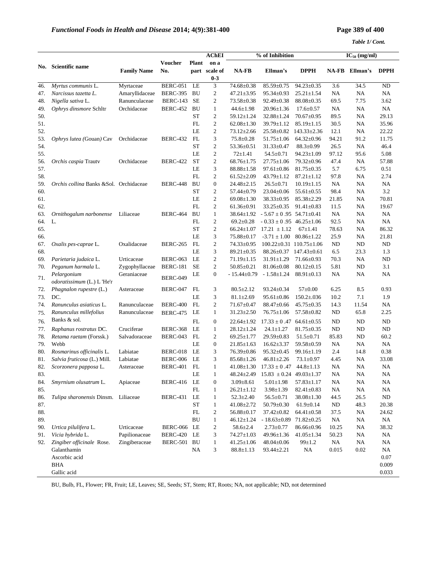#### *Table 1/ Cont.*

|     |                                                |                    |                 |              | <b>AChEI</b>             |                  | % of Inhibition                     |                   |              | $IC_{50}$ (mg/ml) |             |
|-----|------------------------------------------------|--------------------|-----------------|--------------|--------------------------|------------------|-------------------------------------|-------------------|--------------|-------------------|-------------|
|     | Scientific name                                |                    | <b>Voucher</b>  | <b>Plant</b> | on a                     |                  |                                     |                   |              |                   |             |
| No. |                                                | <b>Family Name</b> | No.             |              | part scale of<br>$0 - 3$ | <b>NA-FB</b>     | Ellman's                            | <b>DPPH</b>       | <b>NA-FB</b> | Ellman's          | <b>DPPH</b> |
| 46. | Myrtus communis L.                             | Myrtaceae          | <b>BERC-051</b> | LE           | 3                        | 74.68±0.38       | 85.59±0.75                          | $94.23 \pm 0.35$  | 3.6          | 34.5              | ND          |
| 47. | Narcissus tazetta L.                           | Amaryllidaceae     | BERC-395        | <b>BU</b>    | $\boldsymbol{2}$         | $47.21 \pm 3.95$ | $95.34 \pm 0.93$                    | $25.21 \pm 1.54$  | NA           | NA                | NA          |
| 48. | Nigella sativa L.                              | Ranunculaceae      | <b>BERC-143</b> | <b>SE</b>    | $\boldsymbol{2}$         | 73.58±0.38       | $92.49 \pm 0.38$                    | $88.08 \pm 0.35$  | 69.5         | 7.75              | 3.62        |
| 49. | Ophrys dinsmore Schltr                         | Orchidaceae        | BERC-452        | <b>BU</b>    | $\mathbf{1}$             | $44.6 \pm 1.98$  | $20.96 \pm 1.36$                    | $17.6 \pm 0.57$   | NA           | NA                | NA          |
| 50. |                                                |                    |                 | <b>ST</b>    | $\boldsymbol{2}$         | 59.12±1.24       | $32.88 \pm 1.24$                    | $70.67 \pm 0.95$  | 89.5         | NA                | 29.13       |
| 51. |                                                |                    |                 | FL           | $\overline{c}$           | $62.08 \pm 1.30$ | $39.79 \pm 1.12$                    | $85.19 \pm 1.15$  | 30.5         | <b>NA</b>         | 35.96       |
| 52. |                                                |                    |                 | LE           | $\mathbf{2}$             | $73.12 \pm 2.66$ | $25.58 \pm 0.82$                    | $143.33 \pm 2.36$ | 12.1         | NA                | 22.22       |
| 53. | Ophrys lutea (Gouan) Cav                       | Orchidaceae        | <b>BERC-432</b> | FL           | 3                        | $75.8 \pm 0.28$  | $51.75 \pm 1.06$                    | 64.32±0.96        | 94.21        | 91.2              | 11.75       |
| 54. |                                                |                    |                 | <b>ST</b>    | $\mathbf{2}$             | 53.36±0.51       | $31.33 \pm 0.47$                    | $88.3 \pm 0.99$   | 26.5         | NA                | 46.4        |
| 55. |                                                |                    |                 | LE           | $\boldsymbol{2}$         | $72 \pm 1.41$    | $54.5 \pm 0.71$                     | $94.23 \pm 1.09$  | 97.12        | 95.6              | 5.08        |
| 56. | Orchis caspia Trautv                           | Orchidaceae        | <b>BERC-422</b> | <b>ST</b>    | $\boldsymbol{2}$         | $68.76 \pm 1.75$ | $27.75 \pm 1.06$                    | 79.32±0.96        | 47.4         | NA                | 57.88       |
| 57. |                                                |                    |                 | LE           | 3                        | $88.88 \pm 1.58$ | $97.61 \pm 0.86$                    | $81.75 \pm 0.35$  | 5.7          | 6.75              | 0.51        |
| 58. |                                                |                    |                 | FL           | $\mathbf{2}$             | $61.52 \pm 2.09$ | $43.79 \pm 1.12$                    | $87.21 \pm 1.12$  | 97.8         | NA                | 2.74        |
| 59. | <i>Orchis collina</i> Banks & Sol. Orchidaceae |                    | <b>BERC-448</b> | <b>BU</b>    | $\boldsymbol{0}$         | $24.48 \pm 2.15$ | $26.5 \pm 0.71$                     | $10.19 \pm 1.15$  | NA           | NA                | NA          |
| 60. |                                                |                    |                 | <b>ST</b>    | $\boldsymbol{2}$         | 57.44±0.79       | $23.04 \pm 0.06$                    | $55.61 \pm 0.55$  | 98.4         | NA                | 3.2         |
| 61. |                                                |                    |                 | LE           | $\sqrt{2}$               | $69.08 \pm 1.30$ | $38.33 \pm 0.95$                    | $85.38 \pm 2.29$  | 21.85        | NA                | 70.81       |
| 62. |                                                |                    |                 | FL           | $\mathfrak{2}$           | $61.36 \pm 0.91$ | $33.25 \pm 0.35$                    | $91.41 \pm 0.83$  | 11.5         | NA                | 19.67       |
| 63. | Ornithogalum narbonense                        | Liliaceae          | <b>BERC-464</b> | <b>BU</b>    | $\mathbf{1}$             | 38.64±1.92       | $-5.67 \pm 0.95$ 54.71 $\pm$ 0.41   |                   | NA           | NA                | NA          |
| 64. | L.                                             |                    |                 | FL           | $\boldsymbol{2}$         | $69.2 \pm 0.28$  | $-0.33 \pm 0.95$ 46.25 $\pm$ 1.06   |                   | 92.5         | NA                | NA          |
| 65. |                                                |                    |                 | <b>ST</b>    | $\sqrt{2}$               | $66.24 \pm 1.07$ | $17.21 \pm 1.12$                    | $67 \pm 1.41$     | 78.63        | NA                | 86.32       |
| 66. |                                                |                    |                 | LE           | 3                        | $75.88 \pm 0.17$ | $-3.71 \pm 1.00$ 80.86 $\pm$ 1.22   |                   | 25.9         | <b>NA</b>         | 21.81       |
| 67. | Oxalis pes-caprae L.                           | Oxalidaceae        | <b>BERC-265</b> | FL           | $\boldsymbol{2}$         | $74.33 \pm 0.95$ | $100.22 \pm 0.31$ $110.75 \pm 1.06$ |                   | ND           | ND                | ND          |
| 68. |                                                |                    |                 | LE           | 3                        | $89.21 \pm 0.35$ | $88.26 \pm 0.37$ 147.43 $\pm$ 0.61  |                   | 6.5          | 23.3              | 1.3         |
| 69. | Parietaria judaica L.                          | Urticaceae         | <b>BERC-063</b> | LE           | $\boldsymbol{2}$         | 71.19±1.15       | $31.91 \pm 1.29$                    | $71.66 \pm 0.93$  | 70.3         | NA                | ND          |
| 70. | Peganum harmala L.                             | Zygophyllaceae     | <b>BERC-181</b> | <b>SE</b>    | $\mathfrak{2}$           | $50.85 \pm 0.21$ | $81.06 \pm 0.08$                    | $80.12 \pm 0.15$  | 5.81         | ND                | 3.1         |
| 71. | Pelargonium<br>odoratissimum (L.) L 'He'r      | Geraniaceae        | <b>BERC-049</b> | LE           | $\boldsymbol{0}$         | $-15.44\pm0.79$  | $-1.58{\pm}1.24$                    | $88.91 \pm 0.13$  | NA           | NA                | NA          |
| 72. | Phagnalon rupestre (L.)                        | Asteraceae         | <b>BERC-047</b> | FL           | 3                        | $80.5 \pm 2.12$  | $93.24 \pm 0.34$                    | $57 \pm 0.00$     | 6.25         | 8.5               | 0.93        |
| 73. | DC.                                            |                    |                 | LE           | 3                        | $81.1 \pm 2.69$  | $95.61 \pm 0.86$                    | $150.2 \pm .036$  | 10.2         | 7.1               | 1.9         |
| 74. | Ranunculus asiaticus L.                        | Ranunculaceae      | <b>BERC-400</b> | FL           | $\sqrt{2}$               | $71.67 \pm 0.47$ | $88.47 \pm 0.66$                    | $45.75 \pm 0.35$  | 14.3         | 11.54             | NA          |
| 75. | Ranunculus millefolius                         | Ranunculaceae      | <b>BERC-475</b> | LE           | $\mathbf{1}$             | $31.23 \pm 2.50$ | $76.75 \pm 1.06$                    | $57.58 \pm 0.82$  | ND           | 65.8              | 2.25        |
| 76. | Banks & sol.                                   |                    |                 | FL           | $\boldsymbol{0}$         | $22.64 \pm 1.92$ | $17.33 \pm 0.47$ 64.61 $\pm$ 0.55   |                   | ND           | <b>ND</b>         | ND          |
| 77. | Raphanus rostratus DC.                         | Cruciferae         | <b>BERC-368</b> | LE           | $\mathbf{1}$             | $28.12 \pm 1.24$ | $24.1 \pm 1.27$                     | $81.75 \pm 0.35$  | ND           | ND                | ${\rm ND}$  |
| 78. | Retama raetam (Forssk.)                        | Salvadoraceae      | <b>BERC-043</b> | FL           | $\boldsymbol{2}$         | $69.25 \pm 1.77$ | $29.59 \pm 0.83$                    | $51.5 \pm 0.71$   | 85.83        | ND                | 60.2        |
| 79. | Webb                                           |                    |                 | LE           | $\boldsymbol{0}$         | $21.85 \pm 1.63$ | $16.62 \pm 3.37$                    | 59.58±0.59        | NA           | NA                | NA          |
| 80. | Rosmarinus officinalis L.                      | Labiatae           | BERC-018        | LE           | 3                        | 76.39±0.86       | $95.32 \pm 0.45$                    | $99.16 \pm 1.19$  | 2.4          | 14.8              | 0.38        |
| 81. | Salvia fruticosa (L.) Mill.                    | Labiatae           | <b>BERC-006</b> | LE           | 3                        | $85.68 \pm 1.26$ | $46.81 \pm 2.26$                    | $73.1 \pm 0.97$   | 4.45         | NA                | 33.08       |
| 82. | Scorzonera papposa L.                          | Asteraceae         | <b>BERC-401</b> | FL           | $\mathbf{1}$             | 41.08±1.30       | $17.33 \pm 0.47$                    | $44.8 \pm 1.13$   | NA           | NA                | NA          |
| 83. |                                                |                    |                 | $\rm LE$     | $\mathbf{1}$             | $48.24 \pm 2.49$ | $15.83 \pm 0.24$ 49.03±1.37         |                   | NA           | NA                | <b>NA</b>   |
| 84. | Smyrnium olusatrum L.                          | Apiaceae           | <b>BERC-416</b> | LE           | $\boldsymbol{0}$         | $3.09 \pm 8.61$  | $5.01 \pm 1.98$                     | $57.83 \pm 1.17$  | NA           | NA                | NA          |
| 85. |                                                |                    |                 | FL           | $\mathbf{1}$             | $26.21 \pm 1.12$ | $3.98 \pm 1.39$                     | $82.41 \pm 0.83$  | NA           | NA                | <b>NA</b>   |
| 86. | Tulipa sharonensis Dinsm.                      | Liliaceae          | BERC-431        | LE           | $\mathbf{1}$             | $52.3 \pm 2.40$  | $56.5 \pm 0.71$                     | $38.08 \pm 1.30$  | 44.5         | 26.5              | ND          |
| 87. |                                                |                    |                 | <b>ST</b>    | $\mathbf{1}$             | 41.08±2.72       | $50.79 \pm 0.30$                    | $61.9 \pm 0.14$   | ND           | 48.3              | 20.38       |
| 88. |                                                |                    |                 | FL           | $\overline{c}$           | $56.88 \pm 0.17$ | 37.42±0.82                          | $64.41 \pm 0.58$  | 37.5         | <b>NA</b>         | 24.62       |
| 89. |                                                |                    |                 | BU           | $\mathbf{1}$             | $46.12 \pm 1.24$ | $-18.63\pm0.89$ 71.82 $\pm0.25$     |                   | NA           | <b>NA</b>         | NA          |
| 90. | Urtica pilulifera L.                           | Urticaceae         | BERC-066 LE     |              | $\boldsymbol{2}$         | $58.6 \pm 2.4$   | $2.73 \pm 0.77$                     | 86.66±0.96        | 10.25        | NA                | 38.32       |
| 91. | Vicia hybrida L.                               | Papilionaceae      | <b>BERC-420</b> | LE           | 3                        | 74.27±1.03       | 49.96±1.36                          | $41.05 \pm 1.34$  | 50.23        | NA                | <b>NA</b>   |
| 92. | Zingiber officinale Rose.                      | Zingiberaceae      | BERC-501 BU     |              | $\mathbf{1}$             | $41.25{\pm}1.06$ | $48.04 \pm 0.06$                    | $99 \pm 1.2$      | <b>NA</b>    | NA                | <b>NA</b>   |
|     | Galanthamin                                    |                    |                 | NA           | 3                        | $88.8 \pm 1.13$  | $93.44 \pm 2.21$                    | <b>NA</b>         | 0.015        | 0.02              | <b>NA</b>   |
|     | Ascorbic acid                                  |                    |                 |              |                          |                  |                                     |                   |              |                   | 0.07        |
|     | <b>BHA</b>                                     |                    |                 |              |                          |                  |                                     |                   |              |                   | 0.009       |
|     | Gallic acid                                    |                    |                 |              |                          |                  |                                     |                   |              |                   | 0.033       |

BU, Bulb, FL, Flower; FR, Fruit; LE, Leaves; SE, Seeds; ST, Stem; RT, Roots; NA, not applicable; ND, not determined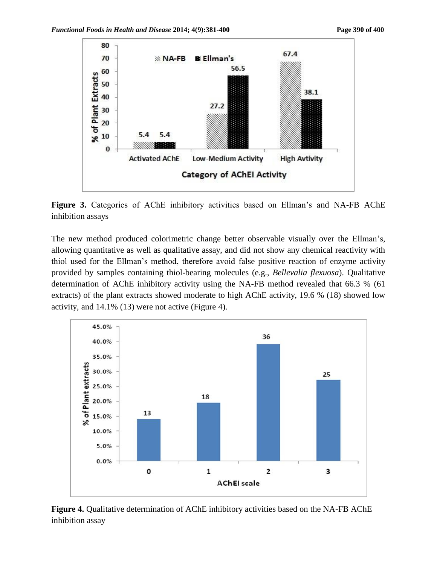

**Figure 3.** Categories of AChE inhibitory activities based on Ellman's and NA-FB AChE inhibition assays

The new method produced colorimetric change better observable visually over the Ellman's, allowing quantitative as well as qualitative assay, and did not show any chemical reactivity with thiol used for the Ellman's method, therefore avoid false positive reaction of enzyme activity provided by samples containing thiol-bearing molecules (e.g., *Bellevalia flexuosa*). Qualitative determination of AChE inhibitory activity using the NA-FB method revealed that 66.3 % (61 extracts) of the plant extracts showed moderate to high AChE activity, 19.6 % (18) showed low activity, and 14.1% (13) were not active (Figure 4).



**Figure 4.** Qualitative determination of AChE inhibitory activities based on the NA-FB AChE inhibition assay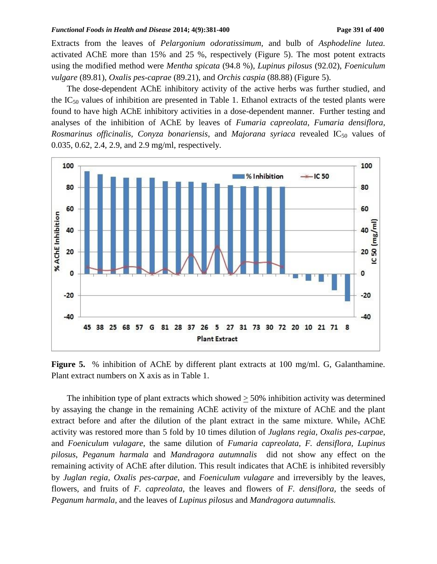#### *Functional Foods in Health and Disease* 2014; 4(9):381-400 **Page 391** of 400

Extracts from the leaves of *Pelargonium odoratissimum,* and bulb of *Asphodeline lutea.*  activated AChE more than 15% and 25 %, respectively (Figure 5). The most potent extracts using the modified method were *Mentha spicata* (94.8 %), *Lupinus pilosus* (92.02), *Foeniculum vulgare* (89.81), *Oxalis pes-caprae* (89.21), and *Orchis caspia* (88.88) (Figure 5).

The dose-dependent AChE inhibitory activity of the active herbs was further studied, and the  $IC_{50}$  values of inhibition are presented in Table 1. Ethanol extracts of the tested plants were found to have high AChE inhibitory activities in a dose-dependent manner. Further testing and analyses of the inhibition of AChE by leaves of *Fumaria capreolata*, *Fumaria densiflora, Rosmarinus officinalis, Conyza bonariensis, and Majorana syriaca revealed IC<sub>50</sub> values of* 0.035, 0.62, 2.4, 2.9, and 2.9 mg/ml, respectively.



Figure 5. % inhibition of AChE by different plant extracts at 100 mg/ml. G, Galanthamine. Plant extract numbers on X axis as in Table 1.

The inhibition type of plant extracts which showed  $> 50\%$  inhibition activity was determined by assaying the change in the remaining AChE activity of the mixture of AChE and the plant extract before and after the dilution of the plant extract in the same mixture. While, AChE activity was restored more than 5 fold by 10 times dilution of *Juglans regia, Oxalis pes-carpae*, and *Foeniculum vulagare*, the same dilution of *Fumaria capreolata, F. densiflora, Lupinus pilosus*, *Peganum harmala* and *Mandragora autumnalis* did not show any effect on the remaining activity of AChE after dilution. This result indicates that AChE is inhibited reversibly by *Juglan regia, Oxalis pes-carpae*, and *Foeniculum vulagare* and irreversibly by the leaves, flowers, and fruits of *F. capreolata,* the leaves and flowers of *F. densiflora,* the seeds of *Peganum harmala,* and the leaves of *Lupinus pilosus* and *Mandragora autumnalis.*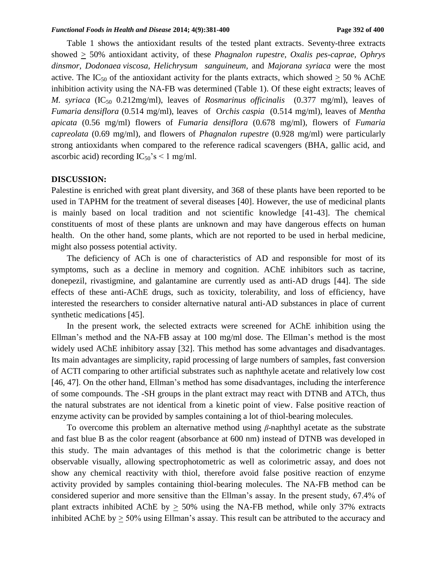Table 1 shows the antioxidant results of the tested plant extracts. Seventy-three extracts showed > 50% antioxidant activity, of these *Phagnalon rupestre, Oxalis pes-caprae, Ophrys dinsmor, Dodonaea viscosa, Helichrysum sanguineum,* and *Majorana syriaca* were the most active. The IC<sub>50</sub> of the antioxidant activity for the plants extracts, which showed  $> 50$  % AChE inhibition activity using the NA-FB was determined (Table 1). Of these eight extracts; leaves of *M. syriaca* (IC<sub>50</sub> 0.212mg/ml), leaves of *Rosmarinus officinalis* (0.377 mg/ml), leaves of *Fumaria densiflora* (0.514 mg/ml), leavesof O*rchis caspia* (0.514 mg/ml), leaves of *Mentha apicata* (0.56 mg/ml) flowers of *Fumaria densiflora* (0.678 mg/ml), flowers of *Fumaria capreolata* (0.69 mg/ml), and flowers of *Phagnalon rupestre* (0.928 mg/ml) were particularly strong antioxidants when compared to the reference radical scavengers (BHA, gallic acid, and ascorbic acid) recording  $IC_{50}$ 's < 1 mg/ml.

#### **DISCUSSION:**

Palestine is enriched with great plant diversity, and 368 of these plants have been reported to be used in TAPHM for the treatment of several diseases [40]. However, the use of medicinal plants is mainly based on local tradition and not scientific knowledge [41-43]. The chemical constituents of most of these plants are unknown and may have dangerous effects on human health. On the other hand, some plants, which are not reported to be used in herbal medicine, might also possess potential activity.

The deficiency of ACh is one of characteristics of AD and responsible for most of its symptoms, such as a decline in memory and cognition. AChE inhibitors such as tacrine, donepezil, rivastigmine, and galantamine are currently used as anti-AD drugs [44]. The side effects of these anti-AChE drugs, such as toxicity, tolerability, and loss of efficiency, have interested the researchers to consider alternative natural anti-AD substances in place of current synthetic medications [45].

In the present work, the selected extracts were screened for AChE inhibition using the Ellman's method and the NA-FB assay at 100 mg/ml dose. The Ellman's method is the most widely used AChE inhibitory assay [32]. This method has some advantages and disadvantages. Its main advantages are simplicity, rapid processing of large numbers of samples, fast conversion of ACTI comparing to other artificial substrates such as naphthyle acetate and relatively low cost [46, 47]. On the other hand, Ellman's method has some disadvantages, including the interference of some compounds. The -SH groups in the plant extract may react with DTNB and ATCh, thus the natural substrates are not identical from a kinetic point of view. False positive reaction of enzyme activity can be provided by samples containing a lot of thiol-bearing molecules.

To overcome this problem an alternative method using *β*-naphthyl acetate as the substrate and fast blue B as the color reagent (absorbance at 600 nm) instead of DTNB was developed in this study. The main advantages of this method is that the colorimetric change is better observable visually, allowing spectrophotometric as well as colorimetric assay, and does not show any chemical reactivity with thiol, therefore avoid false positive reaction of enzyme activity provided by samples containing thiol-bearing molecules. The NA-FB method can be considered superior and more sensitive than the Ellman's assay. In the present study, 67.4% of plant extracts inhibited AChE by  $> 50\%$  using the NA-FB method, while only 37% extracts inhibited AChE by  $\geq$  50% using Ellman's assay. This result can be attributed to the accuracy and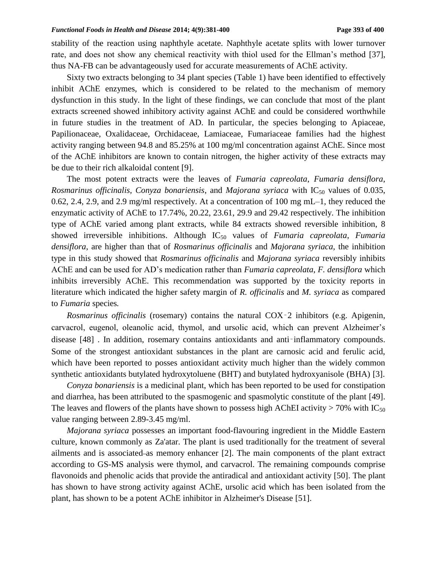stability of the reaction using naphthyle acetate. Naphthyle acetate splits with lower turnover rate, and does not show any chemical reactivity with thiol used for the Ellman's method [37], thus NA-FB can be advantageously used for accurate measurements of AChE activity.

Sixty two extracts belonging to 34 plant species (Table 1) have been identified to effectively inhibit AChE enzymes, which is considered to be related to the mechanism of memory dysfunction in this study. In the light of these findings, we can conclude that most of the plant extracts screened showed inhibitory activity against AChE and could be considered worthwhile in future studies in the treatment of AD. In particular, the species belonging to Apiaceae, Papilionaceae, Oxalidaceae, Orchidaceae, Lamiaceae, Fumariaceae families had the highest activity ranging between 94.8 and 85.25% at 100 mg/ml concentration against AChE. Since most of the AChE inhibitors are known to contain nitrogen, the higher activity of these extracts may be due to their rich alkaloidal content [9].

The most potent extracts were the leaves of *Fumaria capreolata*, *Fumaria densiflora*, *Rosmarinus officinalis, Conyza bonariensis, and <i>Majorana syriaca* with IC<sub>50</sub> values of 0.035, 0.62, 2.4, 2.9, and 2.9 mg/ml respectively. At a concentration of 100 mg mL–1, they reduced the enzymatic activity of AChE to 17.74%, 20.22, 23.61, 29.9 and 29.42 respectively. The inhibition type of AChE varied among plant extracts, while 84 extracts showed reversible inhibition, 8 showed irreversible inhibitions. Although IC<sup>50</sup> values of *Fumaria capreolata*, *Fumaria densiflora*, are higher than that of *Rosmarinus officinalis* and *Majorana syriaca*, the inhibition type in this study showed that *Rosmarinus officinalis* and *Majorana syriaca* reversibly inhibits AChE and can be used for AD's medication rather than *Fumaria capreolata*, *F. densiflora* which inhibits irreversibly AChE. This recommendation was supported by the toxicity reports in literature which indicated the higher safety margin of *R. officinalis* and *M. syriaca* as compared to *Fumaria* species*.*

*Rosmarinus officinalis* (rosemary) contains the natural COX‑2 inhibitors (e.g. Apigenin, carvacrol, eugenol, oleanolic acid, thymol, and ursolic acid, which can prevent Alzheimer's disease [48]. In addition, rosemary contains antioxidants and anti-inflammatory compounds. Some of the strongest antioxidant substances in the plant are carnosic acid and ferulic acid, which have been reported to posses antioxidant activity much higher than the widely common synthetic antioxidants butylated hydroxytoluene (BHT) and butylated hydroxyanisole (BHA) [3].

*Conyza bonariensis* is a medicinal plant, which has been reported to be used for constipation and diarrhea, has been attributed to the spasmogenic and spasmolytic constitute of the plant [49]. The leaves and flowers of the plants have shown to possess high AChEI activity > 70% with IC<sub>50</sub> value ranging between 2.89-3.45 mg/ml.

*Majorana syriaca* possesses an important food-flavouring ingredient in the Middle Eastern culture, known commonly as Za'atar. The plant is used traditionally for the treatment of several ailments and is associated as memory enhancer [2]. The main components of the plant extract according to GS-MS analysis were thymol, and carvacrol. The remaining compounds comprise flavonoids and phenolic acids that provide the antiradical and antioxidant activity [50]. The plant has shown to have strong activity against AChE, ursolic acid which has been isolated from the plant, has shown to be a potent AChE inhibitor in Alzheimer's Disease [51].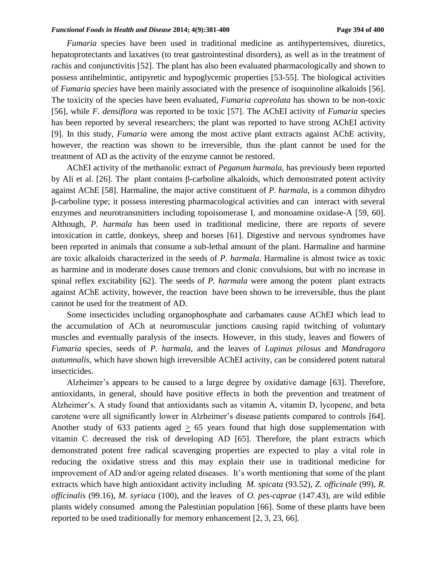*Fumaria* species have been used in traditional medicine as antihypertensives, diuretics, hepatoprotectants and laxatives (to treat gastrointestinal disorders), as well as in the treatment of rachis and conjunctivitis [52]. The plant has also been evaluated pharmacologically and shown to possess antihelmintic, antipyretic and hypoglycemic properties [53-55]. The biological activities of *Fumaria species* have been mainly associated with the presence of isoquinoline alkaloids [56]. The toxicity of the species have been evaluated, *Fumaria capreolata* has shown to be non-toxic [56], while *F. densiflora* was reported to be toxic [57]. The AChEI activity of *Fumaria* species has been reported by several researchers; the plant was reported to have strong AChEI activity [9]. In this study, *Fumaria* were among the most active plant extracts against AChE activity, however, the reaction was shown to be irreversible, thus the plant cannot be used for the treatment of AD as the activity of the enzyme cannot be restored.

AChEI activity of the methanolic extract of *Peganum harmala,* has previously been reported by Ali et al. [26]. The plant contains β-carboline alkaloids, which demonstrated potent activity against AChE [58]. Harmaline, the major active constituent of *P. harmala,* is a common dihydro β-carboline type; it possess interesting pharmacological activities and can interact with several enzymes and neurotransmitters including topoisomerase I, and monoamine oxidase-A [59, 60]. Although, *P. harmala* has been used in traditional medicine, there are reports of severe intoxication in cattle, donkeys, sheep and horses [61]. Digestive and nervous syndromes have been reported in animals that consume a sub-lethal amount of the plant. Harmaline and harmine are toxic alkaloids characterized in the seeds of *P. harmala*. Harmaline is almost twice as toxic as harmine and in moderate doses cause tremors and clonic convulsions, but with no increase in spinal reflex excitability [62]. The seeds of *P. harmala* were among the potent plant extracts against AChE activity, however, the reaction have been shown to be irreversible, thus the plant cannot be used for the treatment of AD.

Some insecticides including organophosphate and carbamates cause AChEI which lead to the accumulation of ACh at neuromuscular junctions causing rapid twitching of voluntary muscles and eventually paralysis of the insects. However, in this study, leaves and flowers of *Fumaria* species, seeds of *P. harmala,* and the leaves of *Lupinus pilosus* and *Mandragora autumnalis,* which have shown high irreversible AChEI activity, can be considered potent natural insecticides.

Alzheimer's appears to be caused to a large degree by oxidative damage [63]. Therefore, antioxidants, in general, should have positive effects in both the prevention and treatment of Alzheimer's. A study found that antioxidants such as vitamin A, vitamin D, lycopene, and beta carotene were all significantly lower in Alzheimer's disease patients compared to controls [64]. Another study of 633 patients aged  $\geq$  65 years found that high dose supplementation with vitamin C decreased the risk of developing AD [65]. Therefore, the plant extracts which demonstrated potent free radical scavenging properties are expected to play a vital role in reducing the oxidative stress and this may explain their use in traditional medicine for improvement of AD and/or ageing related diseases. It's worth mentioning that some of the plant extracts which have high antioxidant activity including *M. spicata* (93.52), *Z. officinale* (99), *R. officinalis* (99.16), *M. syriaca* (100), and the leaves of *O. pes-caprae* (147.43), are wild edible plants widely consumed among the Palestinian population [66]. Some of these plants have been reported to be used traditionally for memory enhancement [2, 3, 23, 66].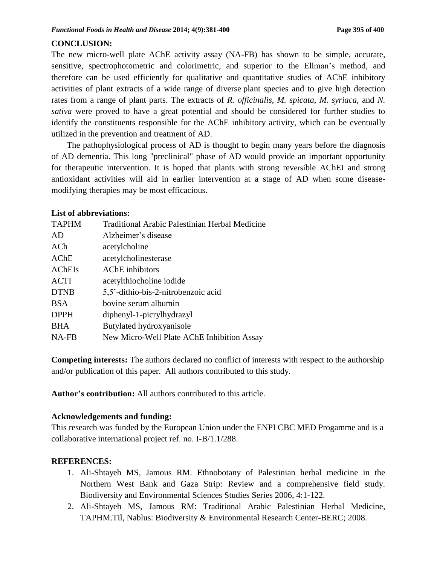### **CONCLUSION:**

The new micro-well plate AChE activity assay (NA-FB) has shown to be simple, accurate, sensitive, spectrophotometric and colorimetric, and superior to the Ellman's method, and therefore can be used efficiently for qualitative and quantitative studies of AChE inhibitory activities of plant extracts of a wide range of diverse plant species and to give high detection rates from a range of plant parts. The extracts of *R. officinalis*, *M. spicata*, *M. syriaca*, and *N. sativa* were proved to have a great potential and should be considered for further studies to identify the constituents responsible for the AChE inhibitory activity, which can be eventually utilized in the prevention and treatment of AD.

The pathophysiological process of AD is thought to begin many years before the diagnosis of AD dementia. This long "preclinical" phase of AD would provide an important opportunity for therapeutic intervention. It is hoped that plants with strong reversible AChEI and strong antioxidant activities will aid in earlier intervention at a stage of AD when some diseasemodifying therapies may be most efficacious.

### **List of abbreviations:**

| <b>TAPHM</b>  | <b>Traditional Arabic Palestinian Herbal Medicine</b> |
|---------------|-------------------------------------------------------|
| AD            | Alzheimer's disease                                   |
| ACh           | acetylcholine                                         |
| AChE          | acetylcholinesterase                                  |
| <b>AChEIs</b> | <b>AChE</b> inhibitors                                |
| <b>ACTI</b>   | acetylthiocholine iodide                              |
| <b>DTNB</b>   | 5,5'-dithio-bis-2-nitrobenzoic acid                   |
| <b>BSA</b>    | bovine serum albumin                                  |
| <b>DPPH</b>   | diphenyl-1-picrylhydrazyl                             |
| <b>BHA</b>    | Butylated hydroxyanisole                              |
| NA-FB         | New Micro-Well Plate AChE Inhibition Assay            |

**Competing interests:** The authors declared no conflict of interests with respect to the authorship and/or publication of this paper. All authors contributed to this study.

**Author's contribution:** All authors contributed to this article.

#### **Acknowledgements and funding:**

This research was funded by the European Union under the ENPI CBC MED Progamme and is a collaborative international project ref. no. I-B/1.1/288.

### **REFERENCES:**

- 1. Ali-Shtayeh MS, Jamous RM. Ethnobotany of Palestinian herbal medicine in the Northern West Bank and Gaza Strip: Review and a comprehensive field study. Biodiversity and Environmental Sciences Studies Series 2006, 4:1-122.
- 2. Ali-Shtayeh MS, Jamous RM: Traditional Arabic Palestinian Herbal Medicine, TAPHM.Til, Nablus: Biodiversity & Environmental Research Center-BERC; 2008.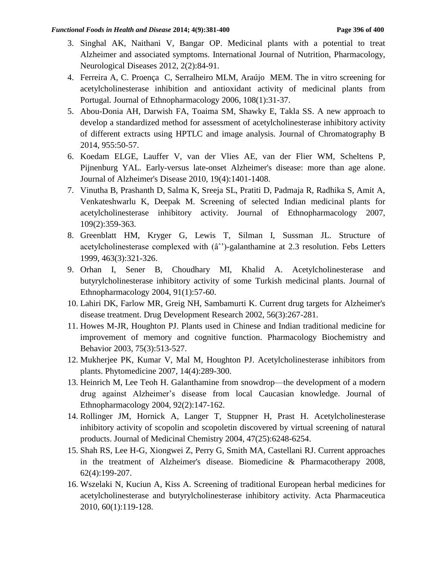- 3. Singhal AK, Naithani V, Bangar OP. Medicinal plants with a potential to treat Alzheimer and associated symptoms. International Journal of Nutrition, Pharmacology, Neurological Diseases 2012, 2(2):84-91.
- 4. Ferreira A, C. Proença C, Serralheiro MLM, Araújo MEM. The in vitro screening for acetylcholinesterase inhibition and antioxidant activity of medicinal plants from Portugal. Journal of Ethnopharmacology 2006, 108(1):31-37.
- 5. Abou-Donia AH, Darwish FA, Toaima SM, Shawky E, Takla SS. A new approach to develop a standardized method for assessment of acetylcholinesterase inhibitory activity of different extracts using HPTLC and image analysis. Journal of Chromatography B 2014, 955:50-57.
- 6. Koedam ELGE, Lauffer V, van der Vlies AE, van der Flier WM, Scheltens P, Pijnenburg YAL. Early-versus late-onset Alzheimer's disease: more than age alone. Journal of Alzheimer's Disease 2010, 19(4):1401-1408.
- 7. Vinutha B, Prashanth D, Salma K, Sreeja SL, Pratiti D, Padmaja R, Radhika S, Amit A, Venkateshwarlu K, Deepak M. Screening of selected Indian medicinal plants for acetylcholinesterase inhibitory activity. Journal of Ethnopharmacology 2007, 109(2):359-363.
- 8. Greenblatt HM, Kryger G, Lewis T, Silman I, Sussman JL. Structure of acetylcholinesterase complexed with  $(\hat{a}^{\prime\prime})$ -galanthamine at 2.3 resolution. Febs Letters 1999, 463(3):321-326.
- 9. Orhan I, Sener B, Choudhary MI, Khalid A. Acetylcholinesterase and butyrylcholinesterase inhibitory activity of some Turkish medicinal plants. Journal of Ethnopharmacology 2004, 91(1):57-60.
- 10. Lahiri DK, Farlow MR, Greig NH, Sambamurti K. Current drug targets for Alzheimer's disease treatment. Drug Development Research 2002, 56(3):267-281.
- 11. Howes M-JR, Houghton PJ. Plants used in Chinese and Indian traditional medicine for improvement of memory and cognitive function. Pharmacology Biochemistry and Behavior 2003, 75(3):513-527.
- 12. Mukherjee PK, Kumar V, Mal M, Houghton PJ. Acetylcholinesterase inhibitors from plants. Phytomedicine 2007, 14(4):289-300.
- 13. Heinrich M, Lee Teoh H. Galanthamine from snowdrop—the development of a modern drug against Alzheimer's disease from local Caucasian knowledge. Journal of Ethnopharmacology 2004, 92(2):147-162.
- 14. Rollinger JM, Hornick A, Langer T, Stuppner H, Prast H. Acetylcholinesterase inhibitory activity of scopolin and scopoletin discovered by virtual screening of natural products. Journal of Medicinal Chemistry 2004, 47(25):6248-6254.
- 15. Shah RS, Lee H-G, Xiongwei Z, Perry G, Smith MA, Castellani RJ. Current approaches in the treatment of Alzheimer's disease. Biomedicine & Pharmacotherapy 2008, 62(4):199-207.
- 16. Wszelaki N, Kuciun A, Kiss A. Screening of traditional European herbal medicines for acetylcholinesterase and butyrylcholinesterase inhibitory activity. Acta Pharmaceutica 2010, 60(1):119-128.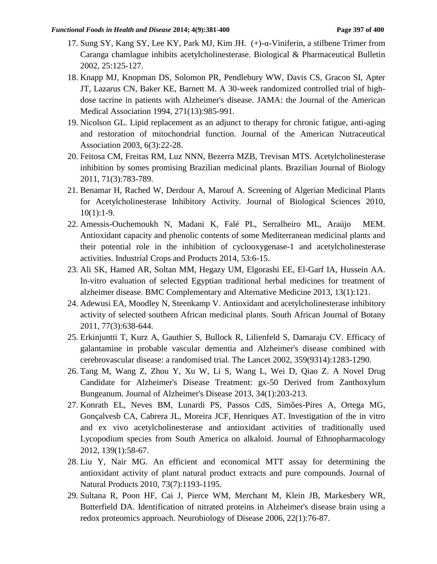- 17. Sung SY, Kang SY, Lee KY, Park MJ, Kim JH. (+)-α-Viniferin, a stilbene Trimer from Caranga chamlague inhibits acetylcholinesterase. Biological & Pharmaceutical Bulletin 2002, 25:125-127.
- 18. Knapp MJ, Knopman DS, Solomon PR, Pendlebury WW, Davis CS, Gracon SI, Apter JT, Lazarus CN, Baker KE, Barnett M. A 30-week randomized controlled trial of highdose tacrine in patients with Alzheimer's disease. JAMA: the Journal of the American Medical Association 1994, 271(13):985-991.
- 19. Nicolson GL. Lipid replacement as an adjunct to therapy for chronic fatigue, anti-aging and restoration of mitochondrial function. Journal of the American Nutraceutical Association 2003, 6(3):22-28.
- 20. Feitosa CM, Freitas RM, Luz NNN, Bezerra MZB, Trevisan MTS. Acetylcholinesterase inhibition by somes promising Brazilian medicinal plants. Brazilian Journal of Biology 2011, 71(3):783-789.
- 21. Benamar H, Rached W, Derdour A, Marouf A. Screening of Algerian Medicinal Plants for Acetylcholinesterase Inhibitory Activity. Journal of Biological Sciences 2010,  $10(1):1-9.$
- 22. Amessis-Ouchemoukh N, Madani K, Falé PL, Serralheiro ML, Araújo MEM. Antioxidant capacity and phenolic contents of some Mediterranean medicinal plants and their potential role in the inhibition of cyclooxygenase-1 and acetylcholinesterase activities. Industrial Crops and Products 2014, 53:6-15.
- 23. Ali SK, Hamed AR, Soltan MM, Hegazy UM, Elgorashi EE, El-Garf IA, Hussein AA. In-vitro evaluation of selected Egyptian traditional herbal medicines for treatment of alzheimer disease. BMC Complementary and Alternative Medicine 2013, 13(1):121.
- 24. Adewusi EA, Moodley N, Steenkamp V. Antioxidant and acetylcholinesterase inhibitory activity of selected southern African medicinal plants. South African Journal of Botany 2011, 77(3):638-644.
- 25. Erkinjuntti T, Kurz A, Gauthier S, Bullock R, Lilienfeld S, Damaraju CV. Efficacy of galantamine in probable vascular dementia and Alzheimer's disease combined with cerebrovascular disease: a randomised trial. The Lancet 2002, 359(9314):1283-1290.
- 26. Tang M, Wang Z, Zhou Y, Xu W, Li S, Wang L, Wei D, Qiao Z. A Novel Drug Candidate for Alzheimer's Disease Treatment: gx-50 Derived from Zanthoxylum Bungeanum. Journal of Alzheimer's Disease 2013, 34(1):203-213.
- 27. Konrath EL, Neves BM, Lunardi PS, Passos CdS, Simões-Pires A, Ortega MG, Gonçalvesb CA, Cabrera JL, Moreira JCF, Henriques AT. Investigation of the in vitro and ex vivo acetylcholinesterase and antioxidant activities of traditionally used Lycopodium species from South America on alkaloid. Journal of Ethnopharmacology 2012, 139(1):58-67.
- 28. Liu Y, Nair MG. An efficient and economical MTT assay for determining the antioxidant activity of plant natural product extracts and pure compounds. Journal of Natural Products 2010, 73(7):1193-1195.
- 29. Sultana R, Poon HF, Cai J, Pierce WM, Merchant M, Klein JB, Markesbery WR, Butterfield DA. Identification of nitrated proteins in Alzheimer's disease brain using a redox proteomics approach. Neurobiology of Disease 2006, 22(1):76-87.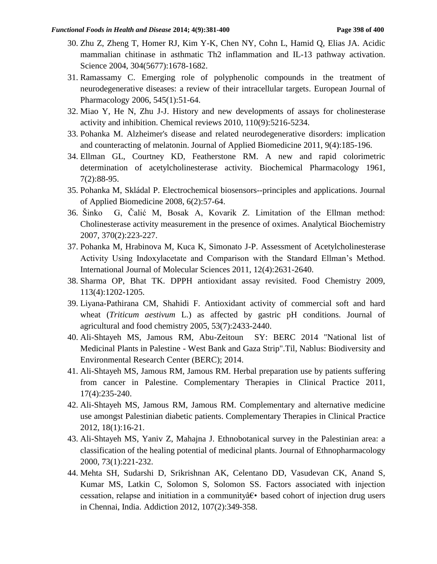- 30. Zhu Z, Zheng T, Homer RJ, Kim Y-K, Chen NY, Cohn L, Hamid Q, Elias JA. Acidic mammalian chitinase in asthmatic Th2 inflammation and IL-13 pathway activation. Science 2004, 304(5677):1678-1682.
- 31. Ramassamy C. Emerging role of polyphenolic compounds in the treatment of neurodegenerative diseases: a review of their intracellular targets. European Journal of Pharmacology 2006, 545(1):51-64.
- 32. Miao Y, He N, Zhu J-J. History and new developments of assays for cholinesterase activity and inhibition. Chemical reviews 2010, 110(9):5216-5234.
- 33. Pohanka M. Alzheimer's disease and related neurodegenerative disorders: implication and counteracting of melatonin. Journal of Applied Biomedicine 2011, 9(4):185-196.
- 34. Ellman GL, Courtney KD, Featherstone RM. A new and rapid colorimetric determination of acetylcholinesterase activity. Biochemical Pharmacology 1961, 7(2):88-95.
- 35. Pohanka M, Skládal P. Electrochemical biosensors--principles and applications. Journal of Applied Biomedicine 2008, 6(2):57-64.
- 36. Šinko G, Čalić M, Bosak A, Kovarik Z. Limitation of the Ellman method: Cholinesterase activity measurement in the presence of oximes. Analytical Biochemistry 2007, 370(2):223-227.
- 37. Pohanka M, Hrabinova M, Kuca K, Simonato J-P. Assessment of Acetylcholinesterase Activity Using Indoxylacetate and Comparison with the Standard Ellman's Method. International Journal of Molecular Sciences 2011, 12(4):2631-2640.
- 38. Sharma OP, Bhat TK. DPPH antioxidant assay revisited. Food Chemistry 2009, 113(4):1202-1205.
- 39. Liyana-Pathirana CM, Shahidi F. Antioxidant activity of commercial soft and hard wheat (*Triticum aestivum* L.) as affected by gastric pH conditions. Journal of agricultural and food chemistry 2005, 53(7):2433-2440.
- 40. Ali-Shtayeh MS, Jamous RM, Abu-Zeitoun SY: BERC 2014 "National list of Medicinal Plants in Palestine - West Bank and Gaza Strip".Til, Nablus: Biodiversity and Environmental Research Center (BERC); 2014.
- 41. Ali-Shtayeh MS, Jamous RM, Jamous RM. Herbal preparation use by patients suffering from cancer in Palestine. Complementary Therapies in Clinical Practice 2011, 17(4):235-240.
- 42. Ali-Shtayeh MS, Jamous RM, Jamous RM. Complementary and alternative medicine use amongst Palestinian diabetic patients. Complementary Therapies in Clinical Practice 2012, 18(1):16-21.
- 43. Ali-Shtayeh MS, Yaniv Z, Mahajna J. Ethnobotanical survey in the Palestinian area: a classification of the healing potential of medicinal plants. Journal of Ethnopharmacology 2000, 73(1):221-232.
- 44. Mehta SH, Sudarshi D, Srikrishnan AK, Celentano DD, Vasudevan CK, Anand S, Kumar MS, Latkin C, Solomon S, Solomon SS. Factors associated with injection cessation, relapse and initiation in a community  $\hat{\alpha} \in \mathcal{E}$  based cohort of injection drug users in Chennai, India. Addiction 2012, 107(2):349-358.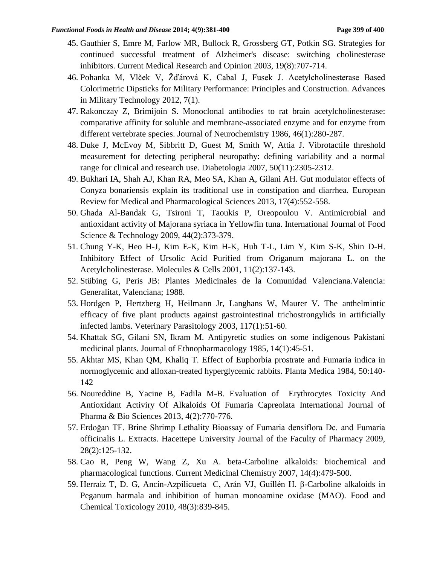- 45. Gauthier S, Emre M, Farlow MR, Bullock R, Grossberg GT, Potkin SG. Strategies for continued successful treatment of Alzheimer's disease: switching cholinesterase inhibitors. Current Medical Research and Opinion 2003, 19(8):707-714.
- 46. Pohanka M, Vlček V, Žďárová K, Cabal J, Fusek J. Acetylcholinesterase Based Colorimetric Dipsticks for Military Performance: Principles and Construction. Advances in Military Technology 2012, 7(1).
- 47. Rakonczay Z, Brimijoin S. Monoclonal antibodies to rat brain acetylcholinesterase: comparative affinity for soluble and membrane-associated enzyme and for enzyme from different vertebrate species. Journal of Neurochemistry 1986, 46(1):280-287.
- 48. Duke J, McEvoy M, Sibbritt D, Guest M, Smith W, Attia J. Vibrotactile threshold measurement for detecting peripheral neuropathy: defining variability and a normal range for clinical and research use. Diabetologia 2007, 50(11):2305-2312.
- 49. Bukhari IA, Shah AJ, Khan RA, Meo SA, Khan A, Gilani AH. Gut modulator effects of Conyza bonariensis explain its traditional use in constipation and diarrhea. European Review for Medical and Pharmacological Sciences 2013, 17(4):552-558.
- 50. Ghada Al-Bandak G, Tsironi T, Taoukis P, Oreopoulou V. Antimicrobial and antioxidant activity of Majorana syriaca in Yellowfin tuna. International Journal of Food Science & Technology 2009, 44(2):373-379.
- 51. Chung Y-K, Heo H-J, Kim E-K, Kim H-K, Huh T-L, Lim Y, Kim S-K, Shin D-H. Inhibitory Effect of Ursolic Acid Purified from Origanum majorana L. on the Acetylcholinesterase. Molecules & Cells 2001, 11(2):137-143.
- 52. Stübing G, Peris JB: Plantes Medicinales de la Comunidad Valenciana.Valencia: Generalitat, Valenciana; 1988.
- 53. Hordgen P, Hertzberg H, Heilmann Jr, Langhans W, Maurer V. The anthelmintic efficacy of five plant products against gastrointestinal trichostrongylids in artificially infected lambs. Veterinary Parasitology 2003, 117(1):51-60.
- 54. Khattak SG, Gilani SN, Ikram M. Antipyretic studies on some indigenous Pakistani medicinal plants. Journal of Ethnopharmacology 1985, 14(1):45-51.
- 55. Akhtar MS, Khan QM, Khaliq T. Effect of Euphorbia prostrate and Fumaria indica in normoglycemic and alloxan-treated hyperglycemic rabbits. Planta Medica 1984, 50:140- 142
- 56. Noureddine B, Yacine B, Fadila M-B. Evaluation of Erythrocytes Toxicity And Antioxidant Activiry Of Alkaloids Of Fumaria Capreolata International Journal of Pharma & Bio Sciences 2013, 4(2):770-776.
- 57. Erdoğan TF. Brine Shrimp Lethality Bioassay of Fumaria densiflora Dc. and Fumaria officinalis L. Extracts. Hacettepe University Journal of the Faculty of Pharmacy 2009, 28(2):125-132.
- 58. Cao R, Peng W, Wang Z, Xu A. beta-Carboline alkaloids: biochemical and pharmacological functions. Current Medicinal Chemistry 2007, 14(4):479-500.
- 59. Herraiz T, D. G, Ancín-Azpilicueta C, Arán VJ, Guillén H. β-Carboline alkaloids in Peganum harmala and inhibition of human monoamine oxidase (MAO). Food and Chemical Toxicology 2010, 48(3):839-845.